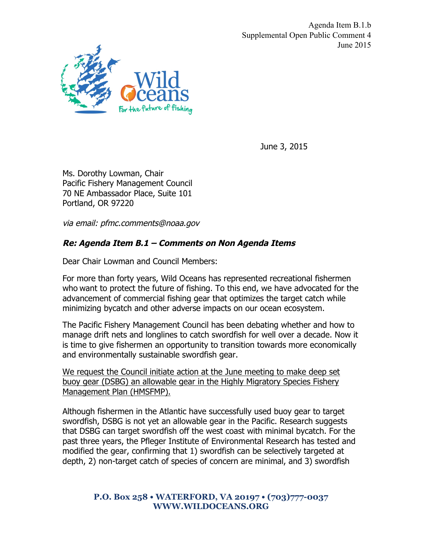Agenda Item B.1.b Supplemental Open Public Comment 4 June 2015



June 3, 2015

Ms. Dorothy Lowman, Chair Pacific Fishery Management Council 70 NE Ambassador Place, Suite 101 Portland, OR 97220

via email: pfmc.comments@noaa.gov

## **Re: Agenda Item B.1 – Comments on Non Agenda Items**

Dear Chair Lowman and Council Members:

For more than forty years, Wild Oceans has represented recreational fishermen who want to protect the future of fishing. To this end, we have advocated for the advancement of commercial fishing gear that optimizes the target catch while minimizing bycatch and other adverse impacts on our ocean ecosystem.

The Pacific Fishery Management Council has been debating whether and how to manage drift nets and longlines to catch swordfish for well over a decade. Now it is time to give fishermen an opportunity to transition towards more economically and environmentally sustainable swordfish gear.

We request the Council initiate action at the June meeting to make deep set buoy gear (DSBG) an allowable gear in the Highly Migratory Species Fishery Management Plan (HMSFMP).

Although fishermen in the Atlantic have successfully used buoy gear to target swordfish, DSBG is not yet an allowable gear in the Pacific. Research suggests that DSBG can target swordfish off the west coast with minimal bycatch. For the past three years, the Pfleger Institute of Environmental Research has tested and modified the gear, confirming that 1) swordfish can be selectively targeted at depth, 2) non-target catch of species of concern are minimal, and 3) swordfish